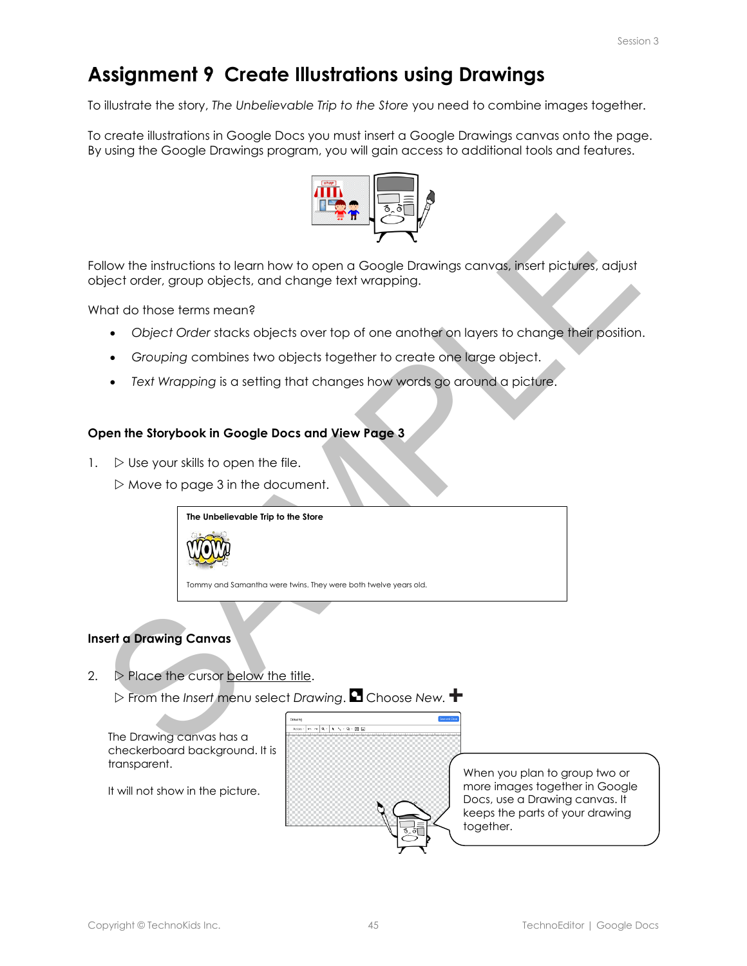# **Assignment 9 Create Illustrations using Drawings**

To illustrate the story, *The Unbelievable Trip to the Store* you need to combine images together.

To create illustrations in Google Docs you must insert a Google Drawings canvas onto the page. By using the Google Drawings program, you will gain access to additional tools and features.



SHow the instructions to learn how to open a Google Drawings canvos, insert pictures, adjust<br>yiect order, group objects, and change text wrapping.<br>And do those terms mean?<br>
∴ Crouping combines two objects over top of one Follow the instructions to learn how to open a Google Drawings canvas, insert pictures, adjust object order, group objects, and change text wrapping.

What do those terms mean?

- *Object Order* stacks objects over top of one another on layers to change their position.
- *Grouping* combines two objects together to create one large object.
- *Text Wrapping* is a setting that changes how words go around a picture.

#### **Open the Storybook in Google Docs and View Page 3**

1.  $\triangleright$  Use your skills to open the file.

 $\triangleright$  Move to page 3 in the document.

**The Unbelievable Trip to the Store**

Tommy and Samantha were twins. They were both twelve years old.

# **Insert a Drawing Canvas**

2.  $\triangleright$  Place the cursor below the title.

**▷ From the** *Insert* **menu select** *Drawing***. ■ Choose New. <sup>■</sup>** 

The Drawing canvas has a checkerboard background. It is transparent.

It will not show in the picture.



When you plan to group two or more images together in Google Docs, use a Drawing canvas. It keeps the parts of your drawing together.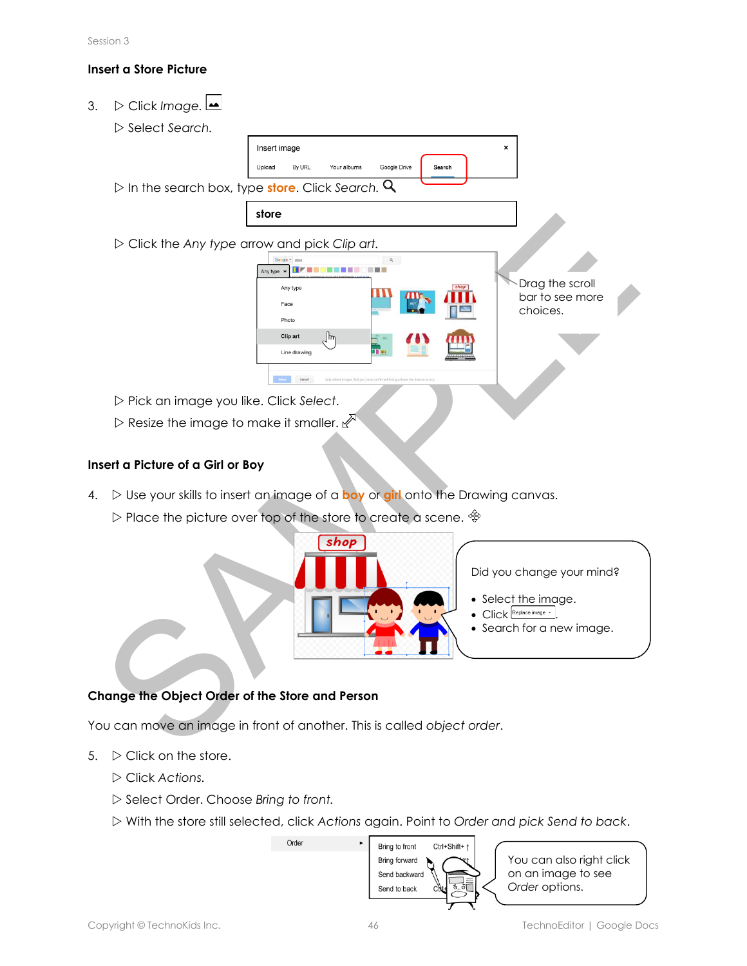## **Insert a Store Picture**

3. Click *Image.*   $\triangleright$  *Select Search.* Insert image  $\mathbf{x}$ Upload By URL Your albums Google Drive Search In the search box, type **store**. Click *Search.*  **store** State Any type arrow and pick Clip art.<br>
We are the state of a GM of Box and pick Clip art.<br>
We are the state of a GM or Boy<br>
Disc the image you like. Click Select.<br>
Disc your skills to insert an image of a boy or gill ont Click the *Any type* arrow and pick *Clip art.* Drag the scroll bar to see more choices. Pick an image you like. Click *Select*.  $\triangleright$  Resize the image to make it smaller.  $\mathbb{R}^N$ 

### **Insert a Picture of a Girl or Boy**

- 4.  $\triangleright$  Use your skills to insert an image of a boy or girl onto the Drawing canvas.
	- $\triangleright$  Place the picture over top of the store to create a scene.  $\hat{\mathcal{P}}$



# **Change the Object Order of the Store and Person**

You can move an image in front of another. This is called *object order*.

- 5.  $\triangleright$  Click on the store.
	- Click *Actions.*
	- Select Order. Choose *Bring to front.*
	- With the store still selected, click *Actions* again. Point to *Order and pick Send to back*.

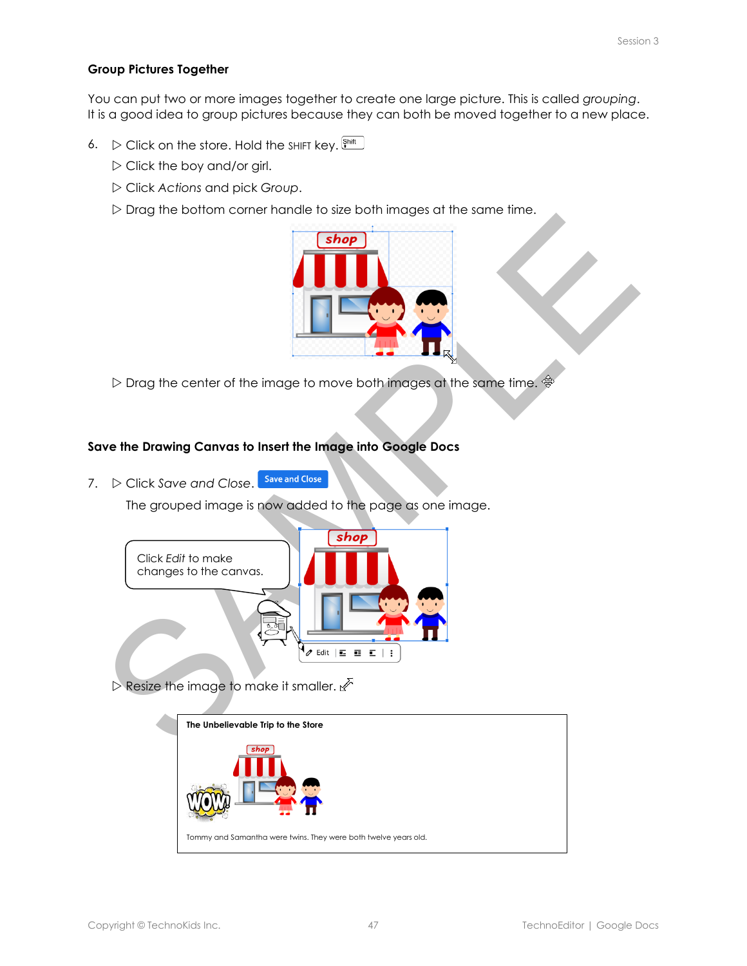#### **Group Pictures Together**

You can put two or more images together to create one large picture. This is called *grouping*. It is a good idea to group pictures because they can both be moved together to a new place.

- 6.  $\triangleright$  Click on the store. Hold the SHIFT key.  $\frac{\text{Shift}}{\text{shift}}$ 
	- $\triangleright$  Click the boy and/or girl.
	- Click *Actions* and pick *Group*.
	- $\triangleright$  Drag the bottom corner handle to size both images at the same time.



 $\triangleright$  Drag the center of the image to move both images at the same time.  $\frac{4}{3}$ 

## **Save the Drawing Canvas to Insert the Image into Google Docs**

7.  $\triangleright$  Click *Save and Close*. Save and Close

The grouped image is now added to the page as one image.



 $\triangleright$  Resize the image to make it smaller.  $\mathbb{Z}^{\triangleright}$ 

| The Unbelievable Trip to the Store                              |
|-----------------------------------------------------------------|
|                                                                 |
| Tommy and Samantha were twins. They were both twelve years old. |